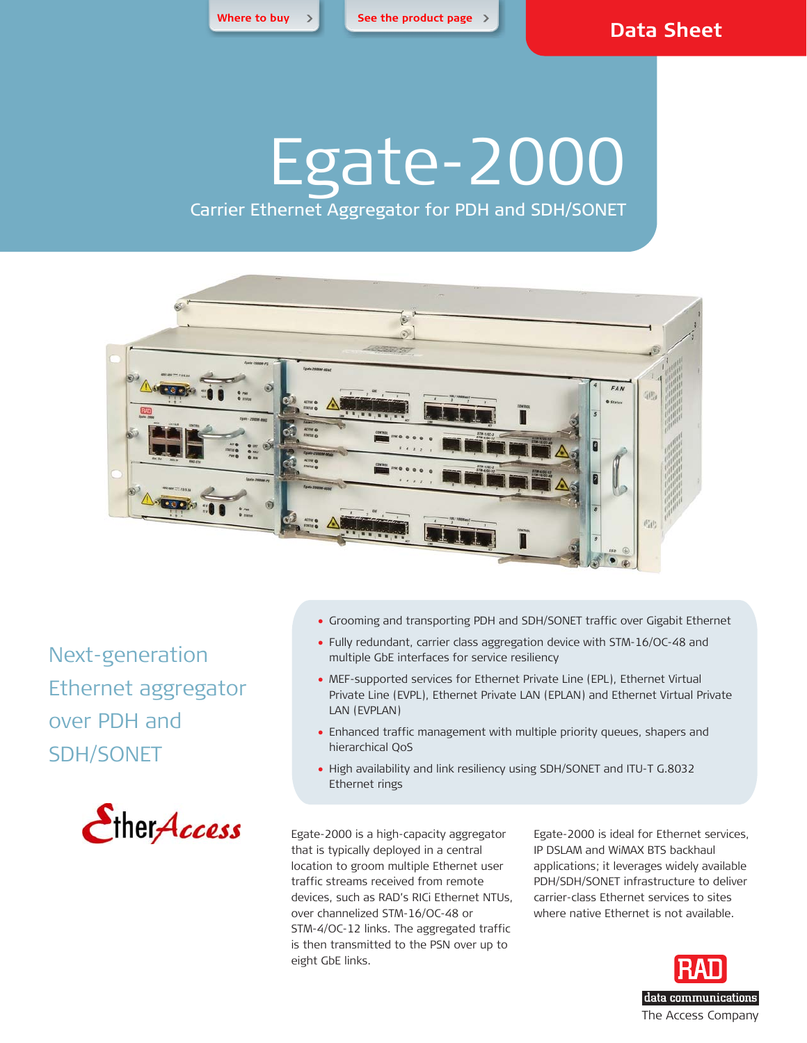**[Where to buy >](http://www.rad.com/3-2387/Where-to-buy-RAD-Products/) [See the product page >](http://www.rad.com/10/Gigabit-Ethernet-Aggregator-over-PDH-SDH-SONET-Access/22565/)**

# Egate-2000

Carrier Ethernet Aggregator for PDH and SDH/SONET



Next-generation Ethernet aggregator over PDH and SDH/SONET



- Grooming and transporting PDH and SDH/SONET traffic over Gigabit Ethernet
- Fully redundant, carrier class aggregation device with STM-16/OC-48 and multiple GbE interfaces for service resiliency
- MEF-supported services for Ethernet Private Line (EPL), Ethernet Virtual Private Line (EVPL), Ethernet Private LAN (EPLAN) and Ethernet Virtual Private LAN (EVPLAN)
- Enhanced traffic management with multiple priority queues, shapers and hierarchical QoS
- High availability and link resiliency using SDH/SONET and ITU-T G.8032 Ethernet rings

Egate-2000 is a high-capacity aggregator that is typically deployed in a central location to groom multiple Ethernet user traffic streams received from remote devices, such as RAD's RICi Ethernet NTUs, over channelized STM-16/OC-48 or STM-4/OC-12 links. The aggregated traffic is then transmitted to the PSN over up to eight GbE links.

Egate-2000 is ideal for Ethernet services, IP DSLAM and WiMAX BTS backhaul applications; it leverages widely available PDH/SDH/SONET infrastructure to deliver carrier-class Ethernet services to sites where native Ethernet is not available.

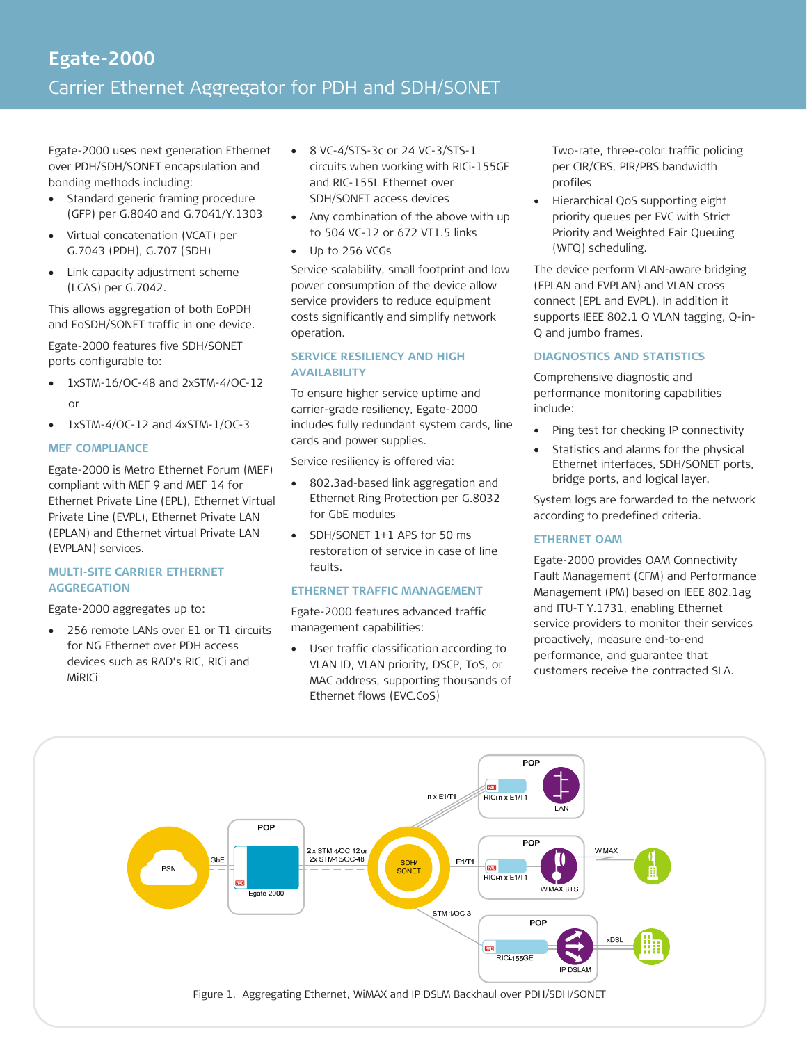### **Egate-2000**  Carrier Ethernet Aggregator for PDH and SDH/SONET

Egate-2000 uses next generation Ethernet over PDH/SDH/SONET encapsulation and bonding methods including:

- Standard generic framing procedure (GFP) per G.8040 and G.7041/Y.1303
- Virtual concatenation (VCAT) per G.7043 (PDH), G.707 (SDH)
- Link capacity adjustment scheme (LCAS) per G.7042.

This allows aggregation of both EoPDH and EoSDH/SONET traffic in one device.

Egate-2000 features five SDH/SONET ports configurable to:

- $\bullet$  1xSTM-16/OC-48 and 2xSTM-4/OC-12 or
- $\bullet$  1xSTM-4/OC-12 and 4xSTM-1/OC-3

### **MEF COMPLIANCE**

Egate-2000 is Metro Ethernet Forum (MEF) compliant with MEF 9 and MEF 14 for Ethernet Private Line (EPL), Ethernet Virtual Private Line (EVPL), Ethernet Private LAN (EPLAN) and Ethernet virtual Private LAN (EVPLAN) services.

### **MULTI-SITE CARRIER ETHERNET AGGREGATION**

Egate-2000 aggregates up to:

• 256 remote LANs over E1 or T1 circuits for NG Ethernet over PDH access devices such as RAD's RIC, RICi and MiRICi

- 8 VC-4/STS-3c or 24 VC-3/STS-1 circuits when working with RICi-155GE and RIC-155L Ethernet over SDH/SONET access devices
- Any combination of the above with up to 504 VC-12 or 672 VT1.5 links
- Up to 256 VCGs

Service scalability, small footprint and low power consumption of the device allow service providers to reduce equipment costs significantly and simplify network operation.

### **SERVICE RESILIENCY AND HIGH AVAILABILITY**

To ensure higher service uptime and carrier-grade resiliency, Egate-2000 includes fully redundant system cards, line cards and power supplies.

Service resiliency is offered via:

- 802.3ad-based link aggregation and Ethernet Ring Protection per G.8032 for GbE modules
- SDH/SONET 1+1 APS for 50 ms restoration of service in case of line faults.

### **ETHERNET TRAFFIC MANAGEMENT**

Egate-2000 features advanced traffic management capabilities:

 User traffic classification according to VLAN ID, VLAN priority, DSCP, ToS, or MAC address, supporting thousands of Ethernet flows (EVC.CoS)

Two-rate, three-color traffic policing per CIR/CBS, PIR/PBS bandwidth profiles

 Hierarchical QoS supporting eight priority queues per EVC with Strict Priority and Weighted Fair Queuing (WFQ) scheduling.

The device perform VLAN-aware bridging (EPLAN and EVPLAN) and VLAN cross connect (EPL and EVPL). In addition it supports IEEE 802.1 Q VLAN tagging, Q-in-Q and jumbo frames.

### **DIAGNOSTICS AND STATISTICS**

Comprehensive diagnostic and performance monitoring capabilities include:

- Ping test for checking IP connectivity
- Statistics and alarms for the physical Ethernet interfaces, SDH/SONET ports, bridge ports, and logical layer.

System logs are forwarded to the network according to predefined criteria.

### **ETHERNET OAM**

Egate-2000 provides OAM Connectivity Fault Management (CFM) and Performance Management (PM) based on IEEE 802.1ag and ITU-T Y.1731, enabling Ethernet service providers to monitor their services proactively, measure end-to-end performance, and guarantee that customers receive the contracted SLA.

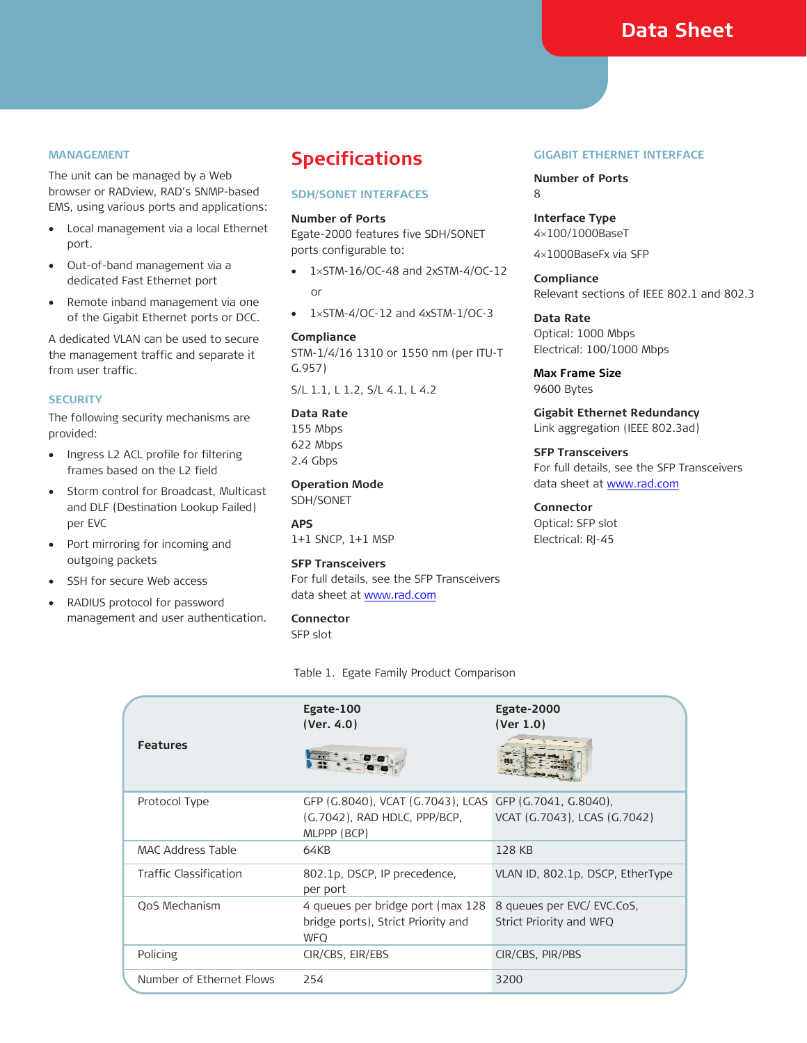### **Data Sheet**

#### **MANAGEMENT**

The unit can be managed by a Web browser or RADview, RAD's SNMP-based EMS, using various ports and applications:

- Local management via a local Ethernet port.
- Out-of-band management via a dedicated Fast Ethernet port
- Remote inband management via one of the Gigabit Ethernet ports or DCC.

A dedicated VLAN can be used to secure the management traffic and separate it from user traffic.

#### **SECURITY**

The following security mechanisms are provided:

- Ingress L2 ACL profile for filtering frames based on the L2 field
- Storm control for Broadcast, Multicast and DLF (Destination Lookup Failed) per EVC
- Port mirroring for incoming and outgoing packets
- SSH for secure Web access
- RADIUS protocol for password management and user authentication.

### **Specifications**

### **SDH/SONET INTERFACES**

#### **Number of Ports**

Egate-2000 features five SDH/SONET ports configurable to:

- $\bullet$  1xSTM-16/OC-48 and 2xSTM-4/OC-12 or
- $\bullet$  1xSTM-4/OC-12 and 4xSTM-1/OC-3

### **Compliance**  STM-1/4/16 1310 or 1550 nm (per ITU-T G.957)

S/L 1.1, L 1.2, S/L 4.1, L 4.2

### **Data Rate**

155 Mbps 622 Mbps 2.4 Gbps

**Operation Mode**  SDH/SONET

**APS**  1+1 SNCP, 1+1 MSP

### **SFP Transceivers**

For full details, see the SFP Transceivers data sheet at www.rad.com

**Connector** 

SFP slot

Table 1. Egate Family Product Comparison

#### **GIGABIT ETHERNET INTERFACE**

**Number of Ports**  8

**Interface Type**  4100/1000BaseT

41000BaseFx via SFP

**Compliance**  Relevant sections of IEEE 802.1 and 802.3

**Data Rate**  Optical: 1000 Mbps Electrical: 100/1000 Mbps

**Max Frame Size**  9600 Bytes

**Gigabit Ethernet Redundancy**  Link aggregation (IEEE 802.3ad)

**SFP Transceivers**  For full details, see the SFP Transceivers data sheet at www.rad.com

### **Connector**  Optical: SFP slot Electrical: RJ-45

| <b>Features</b>          | Egate-100<br>(Ver. $4.0$ )                                                                             | Egate-2000<br>(Ver $1.0$ )                           |
|--------------------------|--------------------------------------------------------------------------------------------------------|------------------------------------------------------|
| Protocol Type            | GFP (G.8040), VCAT (G.7043), LCAS GFP (G.7041, G.8040),<br>(G.7042), RAD HDLC, PPP/BCP,<br>MLPPP (BCP) | VCAT (G.7043), LCAS (G.7042)                         |
| MAC Address Table        | 64KB                                                                                                   | 128 KB                                               |
| Traffic Classification   | 802.1p, DSCP, IP precedence,<br>per port                                                               | VLAN ID, 802.1p, DSCP, EtherType                     |
| QoS Mechanism            | 4 queues per bridge port (max 128<br>bridge ports), Strict Priority and<br><b>WFO</b>                  | 8 queues per EVC/EVC.CoS.<br>Strict Priority and WFQ |
| Policing                 | CIR/CBS, EIR/EBS                                                                                       | CIR/CBS, PIR/PBS                                     |
| Number of Ethernet Flows | 254                                                                                                    | 3200                                                 |